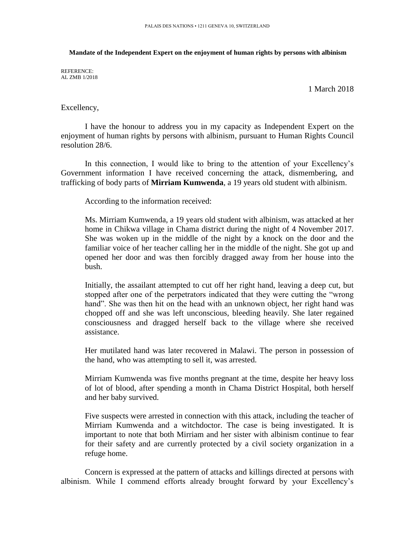## **Mandate of the Independent Expert on the enjoyment of human rights by persons with albinism**

REFERENCE: AL ZMB 1/2018

1 March 2018

## Excellency,

I have the honour to address you in my capacity as Independent Expert on the enjoyment of human rights by persons with albinism, pursuant to Human Rights Council resolution 28/6.

In this connection, I would like to bring to the attention of your Excellency's Government information I have received concerning the attack, dismembering, and trafficking of body parts of **Mirriam Kumwenda**, a 19 years old student with albinism.

According to the information received:

Ms. Mirriam Kumwenda, a 19 years old student with albinism, was attacked at her home in Chikwa village in Chama district during the night of 4 November 2017. She was woken up in the middle of the night by a knock on the door and the familiar voice of her teacher calling her in the middle of the night. She got up and opened her door and was then forcibly dragged away from her house into the bush.

Initially, the assailant attempted to cut off her right hand, leaving a deep cut, but stopped after one of the perpetrators indicated that they were cutting the "wrong hand". She was then hit on the head with an unknown object, her right hand was chopped off and she was left unconscious, bleeding heavily. She later regained consciousness and dragged herself back to the village where she received assistance.

Her mutilated hand was later recovered in Malawi. The person in possession of the hand, who was attempting to sell it, was arrested.

Mirriam Kumwenda was five months pregnant at the time, despite her heavy loss of lot of blood, after spending a month in Chama District Hospital, both herself and her baby survived.

Five suspects were arrested in connection with this attack, including the teacher of Mirriam Kumwenda and a witchdoctor. The case is being investigated. It is important to note that both Mirriam and her sister with albinism continue to fear for their safety and are currently protected by a civil society organization in a refuge home.

Concern is expressed at the pattern of attacks and killings directed at persons with albinism. While I commend efforts already brought forward by your Excellency's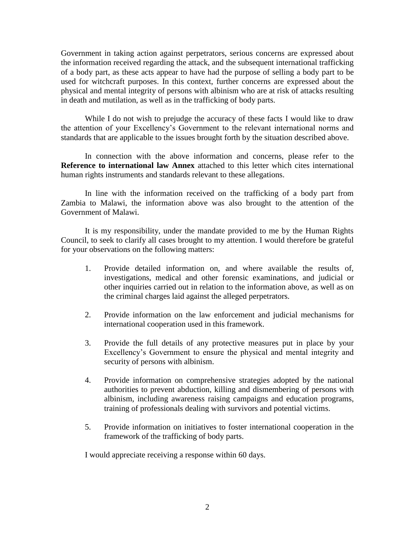Government in taking action against perpetrators, serious concerns are expressed about the information received regarding the attack, and the subsequent international trafficking of a body part, as these acts appear to have had the purpose of selling a body part to be used for witchcraft purposes. In this context, further concerns are expressed about the physical and mental integrity of persons with albinism who are at risk of attacks resulting in death and mutilation, as well as in the trafficking of body parts.

While I do not wish to prejudge the accuracy of these facts I would like to draw the attention of your Excellency's Government to the relevant international norms and standards that are applicable to the issues brought forth by the situation described above.

In connection with the above information and concerns, please refer to the **Reference to international law Annex** attached to this letter which cites international human rights instruments and standards relevant to these allegations.

In line with the information received on the trafficking of a body part from Zambia to Malawi, the information above was also brought to the attention of the Government of Malawi.

It is my responsibility, under the mandate provided to me by the Human Rights Council, to seek to clarify all cases brought to my attention. I would therefore be grateful for your observations on the following matters:

- 1. Provide detailed information on, and where available the results of, investigations, medical and other forensic examinations, and judicial or other inquiries carried out in relation to the information above, as well as on the criminal charges laid against the alleged perpetrators.
- 2. Provide information on the law enforcement and judicial mechanisms for international cooperation used in this framework.
- 3. Provide the full details of any protective measures put in place by your Excellency's Government to ensure the physical and mental integrity and security of persons with albinism.
- 4. Provide information on comprehensive strategies adopted by the national authorities to prevent abduction, killing and dismembering of persons with albinism, including awareness raising campaigns and education programs, training of professionals dealing with survivors and potential victims.
- 5. Provide information on initiatives to foster international cooperation in the framework of the trafficking of body parts.

I would appreciate receiving a response within 60 days.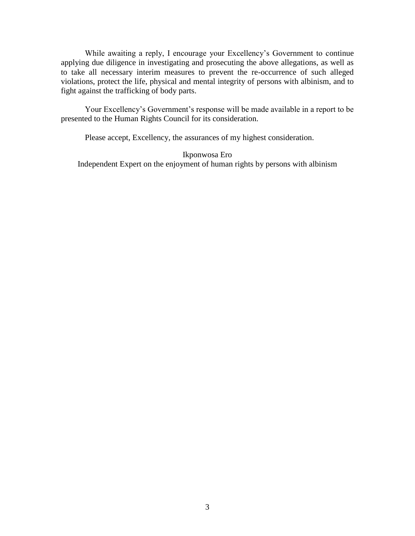While awaiting a reply, I encourage your Excellency's Government to continue applying due diligence in investigating and prosecuting the above allegations, as well as to take all necessary interim measures to prevent the re-occurrence of such alleged violations, protect the life, physical and mental integrity of persons with albinism, and to fight against the trafficking of body parts.

Your Excellency's Government's response will be made available in a report to be presented to the Human Rights Council for its consideration.

Please accept, Excellency, the assurances of my highest consideration.

Ikponwosa Ero Independent Expert on the enjoyment of human rights by persons with albinism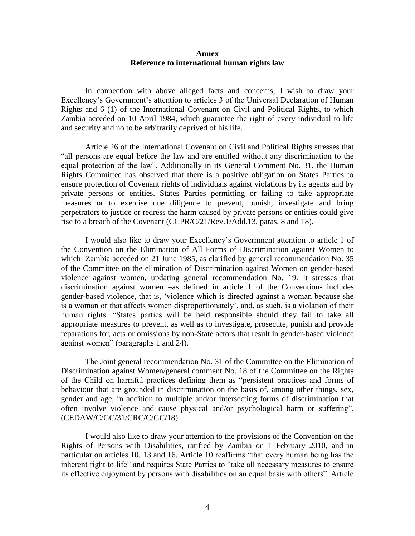## **Annex Reference to international human rights law**

In connection with above alleged facts and concerns, I wish to draw your Excellency's Government's attention to articles 3 of the Universal Declaration of Human Rights and 6 (1) of the International Covenant on Civil and Political Rights, to which Zambia acceded on 10 April 1984, which guarantee the right of every individual to life and security and no to be arbitrarily deprived of his life.

Article 26 of the International Covenant on Civil and Political Rights stresses that "all persons are equal before the law and are entitled without any discrimination to the equal protection of the law". Additionally in its General Comment No. 31, the Human Rights Committee has observed that there is a positive obligation on States Parties to ensure protection of Covenant rights of individuals against violations by its agents and by private persons or entities. States Parties permitting or failing to take appropriate measures or to exercise due diligence to prevent, punish, investigate and bring perpetrators to justice or redress the harm caused by private persons or entities could give rise to a breach of the Covenant (CCPR/C/21/Rev.1/Add.13, paras. 8 and 18).

I would also like to draw your Excellency's Government attention to article 1 of the Convention on the Elimination of All Forms of Discrimination against Women to which Zambia acceded on 21 June 1985, as clarified by general recommendation No. 35 of the Committee on the elimination of Discrimination against Women on gender-based violence against women, updating general recommendation No. 19. It stresses that discrimination against women –as defined in article 1 of the Convention- includes gender-based violence, that is, 'violence which is directed against a woman because she is a woman or that affects women disproportionately', and, as such, is a violation of their human rights. "States parties will be held responsible should they fail to take all appropriate measures to prevent, as well as to investigate, prosecute, punish and provide reparations for, acts or omissions by non-State actors that result in gender-based violence against women" (paragraphs 1 and 24).

The Joint general recommendation No. 31 of the Committee on the Elimination of Discrimination against Women/general comment No. 18 of the Committee on the Rights of the Child on harmful practices defining them as "persistent practices and forms of behaviour that are grounded in discrimination on the basis of, among other things, sex, gender and age, in addition to multiple and/or intersecting forms of discrimination that often involve violence and cause physical and/or psychological harm or suffering". (CEDAW/C/GC/31/CRC/C/GC/18)

I would also like to draw your attention to the provisions of the Convention on the Rights of Persons with Disabilities, ratified by Zambia on 1 February 2010, and in particular on articles 10, 13 and 16. Article 10 reaffirms "that every human being has the inherent right to life" and requires State Parties to "take all necessary measures to ensure its effective enjoyment by persons with disabilities on an equal basis with others". Article